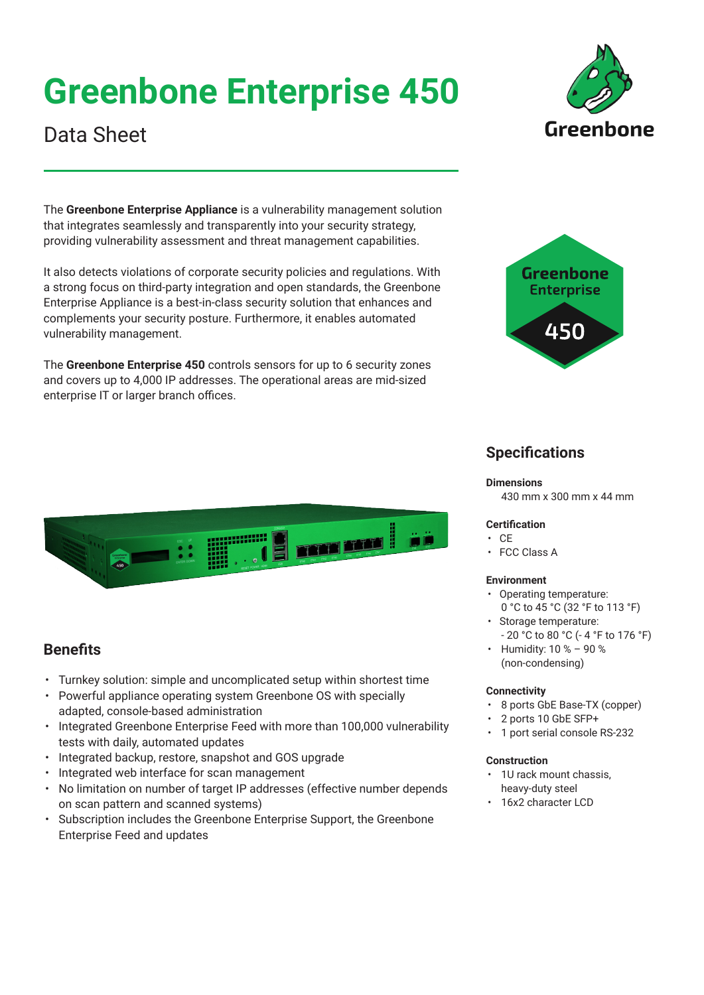# **Greenbone Enterprise 450**





## Data Sheet

The **Greenbone Enterprise Appliance** is a vulnerability management solution that integrates seamlessly and transparently into your security strategy, providing vulnerability assessment and threat management capabilities.

It also detects violations of corporate security policies and regulations. With a strong focus on third-party integration and open standards, the Greenbone Enterprise Appliance is a best-in-class security solution that enhances and complements your security posture. Furthermore, it enables automated vulnerability management.

The **Greenbone Enterprise 450** controls sensors for up to 6 security zones and covers up to 4,000 IP addresses. The operational areas are mid-sized enterprise IT or larger branch offices.



### **Specifications**

#### **Dimensions**

430 mm x 300 mm x 44 mm

### **Certification**

- CE
- FCC Class A

### **Environment**

- Operating temperature:
- 0 °C to 45 °C (32 °F to 113 °F) • Storage temperature:
- 20 °C to 80 °C (- 4 °F to 176 °F)
- Humidity: 10 % 90 % (non-condensing)

### **Connectivity**

- 8 ports GbE Base-TX (copper)
- 2 ports 10 GbE SFP+
- 1 port serial console RS-232

### **Construction**

- 1U rack mount chassis, heavy-duty steel
- 16x2 character LCD



### **Benefits**

- Turnkey solution: simple and uncomplicated setup within shortest time
- Powerful appliance operating system Greenbone OS with specially adapted, console-based administration
- Integrated Greenbone Enterprise Feed with more than 100,000 vulnerability tests with daily, automated updates
- Integrated backup, restore, snapshot and GOS upgrade
- Integrated web interface for scan management
- No limitation on number of target IP addresses (effective number depends on scan pattern and scanned systems)
- Subscription includes the Greenbone Enterprise Support, the Greenbone Enterprise Feed and updates